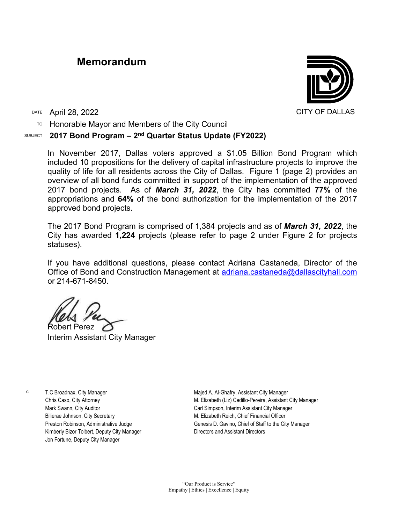## **Memorandum**



DATE April 28, 2022 CITY OF DALLAS

 $TO$  Honorable Mayor and Members of the City Council

## SUBJECT **2017 Bond Program – 2nd Quarter Status Update (FY2022)**

In November 2017, Dallas voters approved a \$1.05 Billion Bond Program which included 10 propositions for the delivery of capital infrastructure projects to improve the quality of life for all residents across the City of Dallas. Figure 1 (page 2) provides an overview of all bond funds committed in support of the implementation of the approved 2017 bond projects. As of *March 31, 2022*, the City has committed **77%** of the appropriations and **64%** of the bond authorization for the implementation of the 2017 approved bond projects.

The 2017 Bond Program is comprised of 1,384 projects and as of *March 31, 2022*, the City has awarded **1,224** projects (please refer to page 2 under Figure 2 for projects statuses).

If you have additional questions, please contact Adriana Castaneda, Director of the Office of Bond and Construction Management at [adriana.castaneda@dallascityhall.com](mailto:adriana.castaneda@dallascityhall.com) or 214-671-8450.

Robert Perez

Interim Assistant City Manager

c: T.C Broadnax, City Manager Chris Caso, City Attorney Mark Swann, City Auditor Bilierae Johnson, City Secretary Preston Robinson, Administrative Judge Kimberly Bizor Tolbert, Deputy City Manager Jon Fortune, Deputy City Manager

Majed A. Al-Ghafry, Assistant City Manager M. Elizabeth (Liz) Cedillo-Pereira, Assistant City Manager Carl Simpson, Interim Assistant City Manager M. Elizabeth Reich, Chief Financial Officer Genesis D. Gavino, Chief of Staff to the City Manager Directors and Assistant Directors